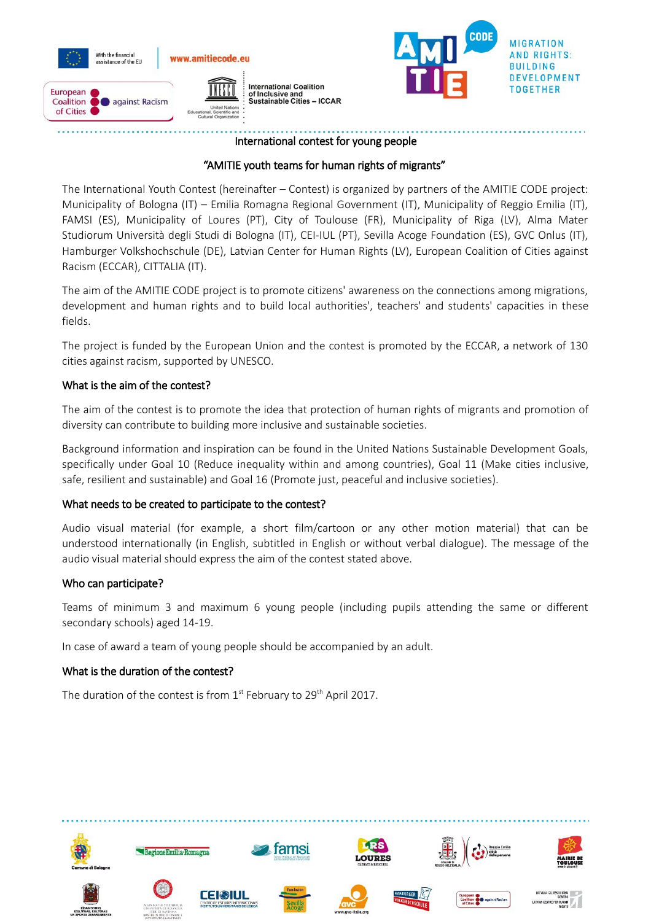



## International contest for young people

# "AMITIE youth teams for human rights of migrants"

The International Youth Contest (hereinafter – Contest) is organized by partners of the AMITIE CODE project: Municipality of Bologna (IT) – Emilia Romagna Regional Government (IT), Municipality of Reggio Emilia (IT), FAMSI (ES), Municipality of Loures (PT), City of Toulouse (FR), Municipality of Riga (LV), Alma Mater Studiorum Università degli Studi di Bologna (IT), CEI-IUL (PT), Sevilla Acoge Foundation (ES), GVC Onlus (IT), Hamburger Volkshochschule (DE), Latvian Center for Human Rights (LV), European Coalition of Cities against Racism (ECCAR), CITTALIA (IT).

The aim of the AMITIE CODE project is to promote citizens' awareness on the connections among migrations, development and human rights and to build local authorities', teachers' and students' capacities in these fields.

The project is funded by the European Union and the contest is promoted by the ECCAR, a network of 130 cities against racism, supported by UNESCO.

## What is the aim of the contest?

The aim of the contest is to promote the idea that protection of human rights of migrants and promotion of diversity can contribute to building more inclusive and sustainable societies.

Background information and inspiration can be found in the United Nations Sustainable Development Goals, specifically under Goal 10 (Reduce inequality within and among countries), Goal 11 (Make cities inclusive, safe, resilient and sustainable) and Goal 16 (Promote just, peaceful and inclusive societies).

## What needs to be created to participate to the contest?

Audio visual material (for example, a short film/cartoon or any other motion material) that can be understood internationally (in English, subtitled in English or without verbal dialogue). The message of the audio visual material should express the aim of the contest stated above.

## Who can participate?

Teams of minimum 3 and maximum 6 young people (including pupils attending the same or different secondary schools) aged 14-19.

In case of award a team of young people should be accompanied by an adult.

## What is the duration of the contest?

The duration of the contest is from  $1<sup>st</sup>$  February to 29<sup>th</sup> April 2017.

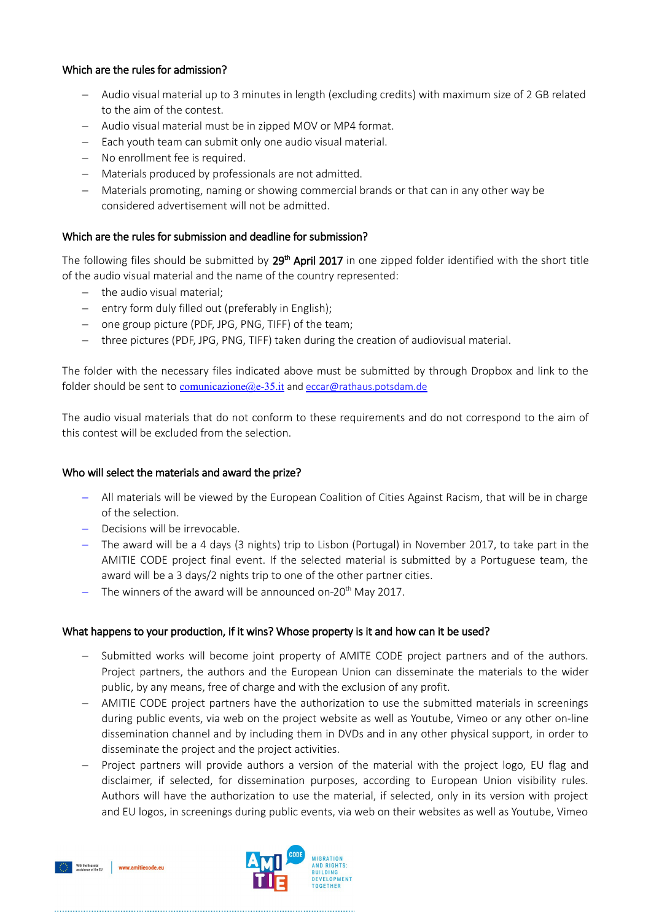## Which are the rules for admission?

- Audio visual material up to 3 minutes in length (excluding credits) with maximum size of 2 GB related to the aim of the contest.
- Audio visual material must be in zipped MOV or MP4 format.
- $-$  Each youth team can submit only one audio visual material.
- No enrollment fee is required.
- Materials produced by professionals are not admitted.
- Materials promoting, naming or showing commercial brands or that can in any other way be considered advertisement will not be admitted.

## Which are the rules for submission and deadline for submission?

The following files should be submitted by  $29<sup>th</sup>$  April 2017 in one zipped folder identified with the short title of the audio visual material and the name of the country represented:

- $-$  the audio visual material;
- $-$  entry form duly filled out (preferably in English);
- one group picture (PDF, JPG, PNG, TIFF) of the team;
- three pictures (PDF, JPG, PNG, TIFF) taken during the creation of audiovisual material.

The folder with the necessary files indicated above must be submitted by through Dropbox and link to the folder should be sent to comunicazione  $(a)$ e-35.it and eccar $(a)$ rathaus.potsdam.de

The audio visual materials that do not conform to these requirements and do not correspond to the aim of this contest will be excluded from the selection.

## Who will select the materials and award the prize?

- All materials will be viewed by the European Coalition of Cities Against Racism, that will be in charge of the selection.
- Decisions will be irrevocable.
- The award will be a 4 days (3 nights) trip to Lisbon (Portugal) in November 2017, to take part in the AMITIE CODE project final event. If the selected material is submitted by a Portuguese team, the award will be a 3 days/2 nights trip to one of the other partner cities.
- The winners of the award will be announced on-20<sup>th</sup> May 2017.

## What happens to your production, if it wins? Whose property is it and how can it be used?

- Submitted works will become joint property of AMITE CODE project partners and of the authors. Project partners, the authors and the European Union can disseminate the materials to the wider public, by any means, free of charge and with the exclusion of any profit.
- AMITIE CODE project partners have the authorization to use the submitted materials in screenings during public events, via web on the project website as well as Youtube, Vimeo or any other on-line dissemination channel and by including them in DVDs and in any other physical support, in order to disseminate the project and the project activities.
- Project partners will provide authors a version of the material with the project logo, EU flag and disclaimer, if selected, for dissemination purposes, according to European Union visibility rules. Authors will have the authorization to use the material, if selected, only in its version with project and EU logos, in screenings during public events, via web on their websites as well as Youtube, Vimeo



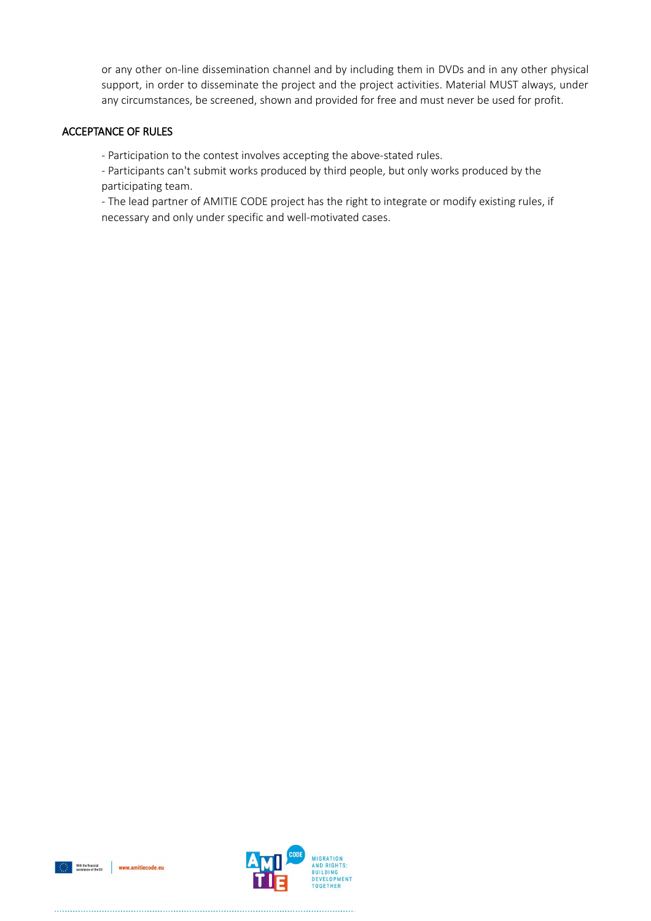or any other on-line dissemination channel and by including them in DVDs and in any other physical support, in order to disseminate the project and the project activities. Material MUST always, under any circumstances, be screened, shown and provided for free and must never be used for profit.

## ACCEPTANCE OF RULES

- Participation to the contest involves accepting the above-stated rules.

- Participants can't submit works produced by third people, but only works produced by the participating team.

- The lead partner of AMITIE CODE project has the right to integrate or modify existing rules, if necessary and only under specific and well-motivated cases.